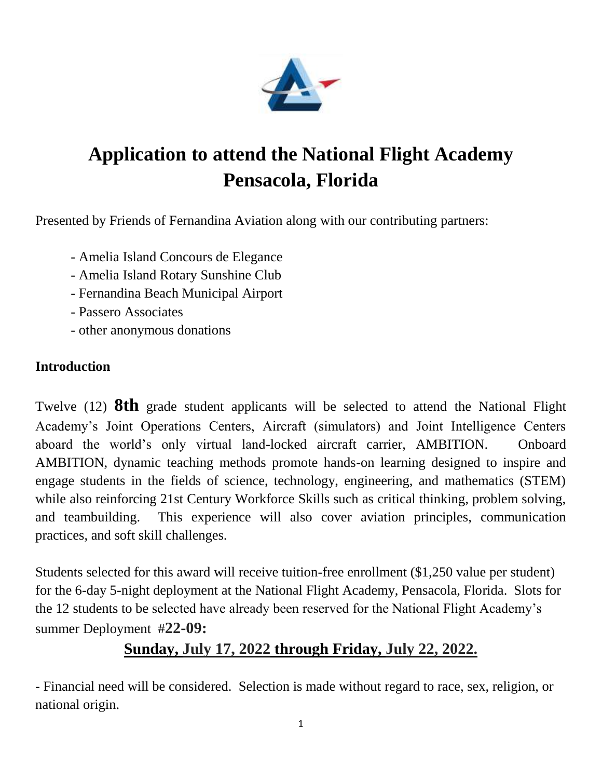

# **Application to attend the National Flight Academy Pensacola, Florida**

Presented by Friends of Fernandina Aviation along with our contributing partners:

- Amelia Island Concours de Elegance
- Amelia Island Rotary Sunshine Club
- Fernandina Beach Municipal Airport
- Passero Associates
- other anonymous donations

### **Introduction**

Twelve (12) **8th** grade student applicants will be selected to attend the National Flight Academy's Joint Operations Centers, Aircraft (simulators) and Joint Intelligence Centers aboard the world's only virtual land-locked aircraft carrier, AMBITION. Onboard AMBITION, dynamic teaching methods promote hands-on learning designed to inspire and engage students in the fields of science, technology, engineering, and mathematics (STEM) while also reinforcing 21st Century Workforce Skills such as critical thinking, problem solving, and teambuilding. This experience will also cover aviation principles, communication practices, and soft skill challenges.

Students selected for this award will receive tuition-free enrollment (\$1,250 value per student) for the 6-day 5-night deployment at the National Flight Academy, Pensacola, Florida. Slots for the 12 students to be selected have already been reserved for the National Flight Academy's summer Deployment #**22-09:** 

## **Sunday, July 17, 2022 through Friday, July 22, 2022.**

- Financial need will be considered. Selection is made without regard to race, sex, religion, or national origin.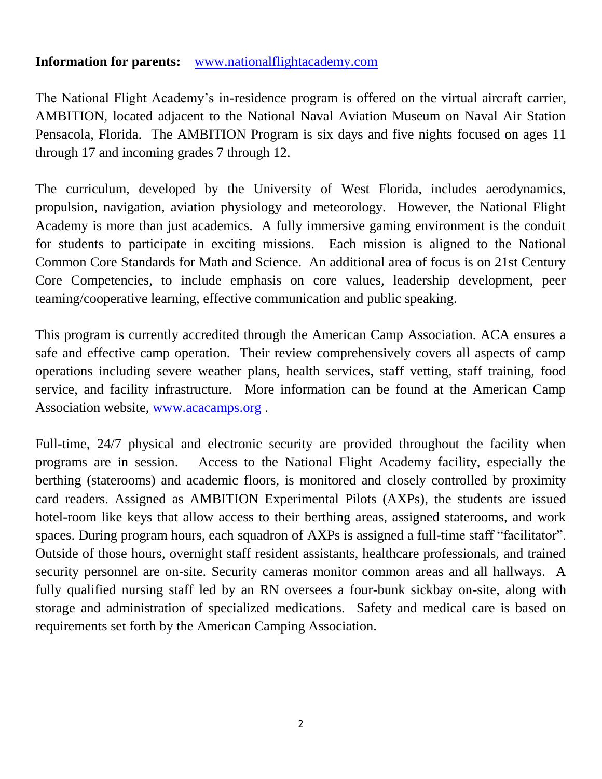#### **Information for parents:** [www.nationalflightacademy.com](http://www.nationalflightacademy.com/)

The National Flight Academy's in-residence program is offered on the virtual aircraft carrier, AMBITION, located adjacent to the National Naval Aviation Museum on Naval Air Station Pensacola, Florida. The AMBITION Program is six days and five nights focused on ages 11 through 17 and incoming grades 7 through 12.

The curriculum, developed by the University of West Florida, includes aerodynamics, propulsion, navigation, aviation physiology and meteorology. However, the National Flight Academy is more than just academics. A fully immersive gaming environment is the conduit for students to participate in exciting missions. Each mission is aligned to the National Common Core Standards for Math and Science. An additional area of focus is on 21st Century Core Competencies, to include emphasis on core values, leadership development, peer teaming/cooperative learning, effective communication and public speaking.

This program is currently accredited through the American Camp Association. ACA ensures a safe and effective camp operation. Their review comprehensively covers all aspects of camp operations including severe weather plans, health services, staff vetting, staff training, food service, and facility infrastructure. More information can be found at the American Camp Association website, [www.acacamps.org](http://www.acacamps.org/) .

Full-time, 24/7 physical and electronic security are provided throughout the facility when programs are in session. Access to the National Flight Academy facility, especially the berthing (staterooms) and academic floors, is monitored and closely controlled by proximity card readers. Assigned as AMBITION Experimental Pilots (AXPs), the students are issued hotel-room like keys that allow access to their berthing areas, assigned staterooms, and work spaces. During program hours, each squadron of AXPs is assigned a full-time staff "facilitator". Outside of those hours, overnight staff resident assistants, healthcare professionals, and trained security personnel are on-site. Security cameras monitor common areas and all hallways. A fully qualified nursing staff led by an RN oversees a four-bunk sickbay on-site, along with storage and administration of specialized medications. Safety and medical care is based on requirements set forth by the American Camping Association.